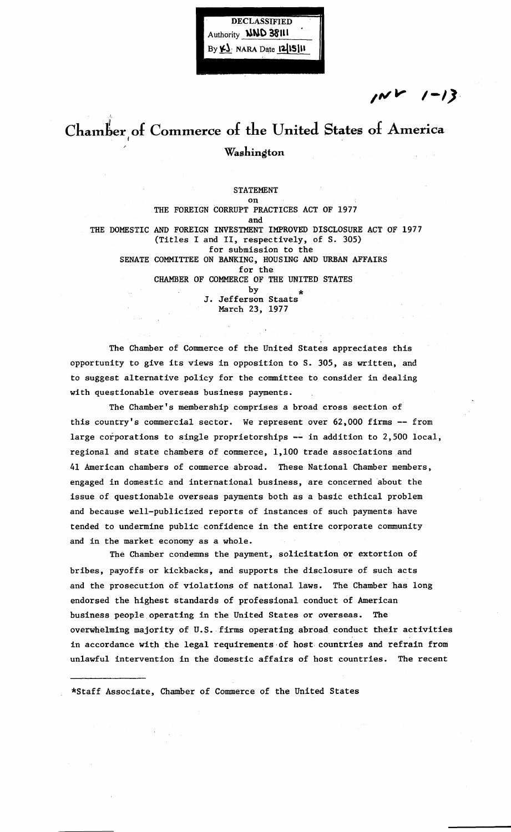**DECLASSIFIED** Authority **NND 38111** By V NARA Date 12/15/11

 $1 - 13$ 

# Chamber of Commerce of the United States of America **Washington**

 $\mathcal{X}$ 

**STATEMENT** 

on THE FOREIGN CORRUPT PRACTICES ACT OF 1977 and THE DOMESTIC AND FOREIGN INVESTMENT IMPROVED DISCLOSURE ACT OF 1977 (Titles I and II, respectively, of S. 305) for submission to the SENATE COMMITTEE ON BANKING, HOUSING AND URBAN AFFAIRS for the CHAMBER OF COMMERCE OF THE UNITED STATES by  $*$ J. Jefferson Staats March 23, 1977

The Chamber of Commerce of the United States appreciates this opportunity to give its views in opposition to S. 305, as written, and to suggest alternative policy for the committee to consider in dealing with questionable overseas business payments.

The Chamber's membership comprises a broad cross section of this country's commercial sector. We represent over 62,000 firms -- from large corporations to single proprietorships -- in addition to 2,500 local, regional and state chambers of commerce,  $1,100$  trade associations and 41 American chambers of commerce abroad. These National Chamber members, engaged in domestic and international business, are concerned about the issue of questionable overseas payments both as a basic ethical problem and because well-publicized reports of instances of such payments have tended to undermine public confidence in the entire corporate community and in the market economy as a whole.

The Chamber condemns the payment, solicitation or extortion of bribes, payoffs or kickbacks, and supports the disclosure of such acts and the prosecution of violations of national laws. The Chamber has long endorsed the highest standards of professional conduct of American business people operating in the United States or overseas. The overwhelming majority of U.S.·firms operating abroad conduct their activities in accordance with the legal requirements of host countries and refrain from unlawful intervention in the domestic affairs of host countries. The recent

\*Staff Associate, Chamber of Commerce of the United States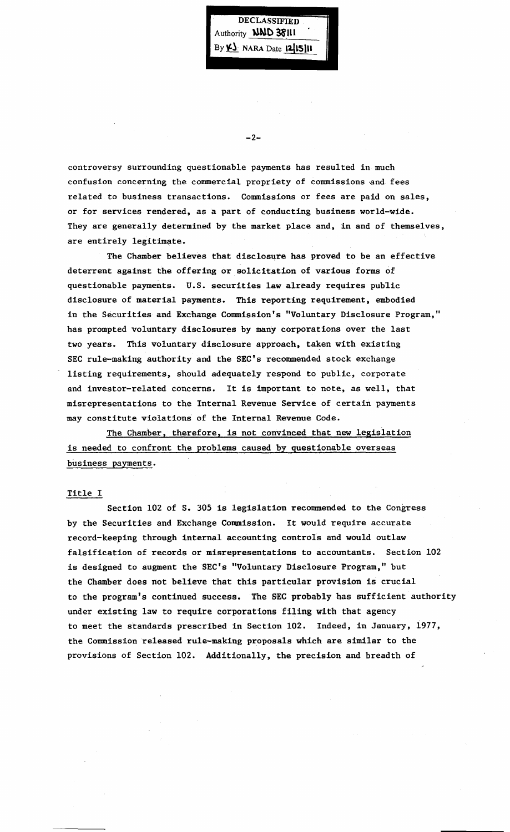DECLASSIFIED Authority **NND 38111** By  $\underline{\mathcal{V}}$  NARA Date 12/15/11

controversy surrounding questionable payments has resulted in much confusion concerning the commercial propriety of commissions and fees related to business transactions. Commissions or fees are paid on sales, or for services rendered, as a part of conducting business world-wide. They are generally determined by the market place and, in and of themselves, are entirely legitimate.

 $-2-$ 

The Chamber believes that disclosure has proved to be an effective deterrent against the offering or solicitation of various forms of questionable payments. U.S. securities law already requires public disclosure of material payments. This reporting requirement, embodied in the Securities and Exchange Commission's "Voluntary Disclosure Program," has prompted voluntary disclosures by many corporations over the last two years. This voluntary disclosure approach, taken with existing SEC rule-making authority and the SEC's recommended stock exchange listing requirements, should adequately respond to public, corporate and investor-related concerns. It is important to note, as well, that misrepresentations to the Internal Revenue Service of certain payments may constitute violations of the Internal Revenue Code.

The Chamber, therefore, is not convinced that new legislation is needed to confront the problems caused by questionable overseas business payments.

### Title I

Section 102 of S. 305 is legislation recommended to the Congress by the Securities and Exchange Commission. It would require accurate record-keeping through internal accounting controls and would outlaw falsification of records or misrepresentations to accountants. Section 102 is designed to augment the SEC's "Voluntary Disclosure Program," but the Chamber does not believe that this particular provision is crucial to the program's continued success. The SEC probably has sufficient authority under existing law to require corporations filing with that agency to meet the standards prescribed in Section 102. Indeed, in January, 1977, the Commission released rule-making proposals which are similar to the provisions of Section 102. Additionally, the precision and breadth of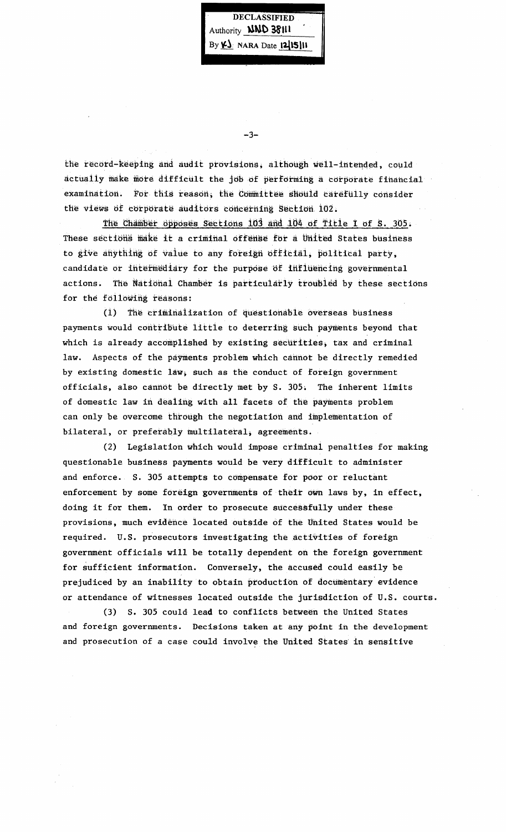DECLASSIFIED Authority \J,N~ **38111**   $By **Y**$  NARA Date  $12|15|11$ 

-3-

the record-keeping and audit provisions, although well-intended, could actually make more difficult the job of performing a corporate financial examination. For this reason, the Committee should carefully consider the views of corporate auditors concerning Section i02.

The Chamber opposes Sections  $103$  and  $104$  of fitle I of S. 305. These sections make it a criminal offense for a United States business to give anything of value to any foreign official, political party, candidate or intermediary for the purpose or infiuencing governmental actions. The National Chamber is particularly troubled by these sections for the following reasons:

 $(1)$  The criminalization of questionable overseas business payments would contribute little to deterring such payments beyond that which is already accomplished by existing securities, tax and criminal law. Aspects of the payments problem which cannot be directly remedied by existing domestic law, such as the conduct of foreign government officials, also cannot be directly met by S. 305. The inherent limits of domestic law in dea1ing with all facets of the payments problem can only be overcome through the negotiation and implementation of bilateral, or preferably multilateral, agreements.

(2) Legislation which would impose criminal penalties for making questionable business payments would be very difficult to administer and enforce. S. 305 attempts to compensate for poor or reluctant enforcement by some foreign governments of their own laws by, in effect, doing it for them. In order to prosecute successfully under these provisions, much evidence located outside 6f the United States would be required. U.S. prosecutors investigating the activities of foreign government officials will be totally dependent on the foreign government for sufficient information. Conversely, the accused could easily be prejudiced by an inability to obtain production of documentary evidence or attendance of witnesses located outside the jurisdiction of U.S. courts.

(3) S. 305 could lead to conflicts between the United States and foreign governments. Decisions taken at any point in the development and prosecution of a case could involve the United states in sensitive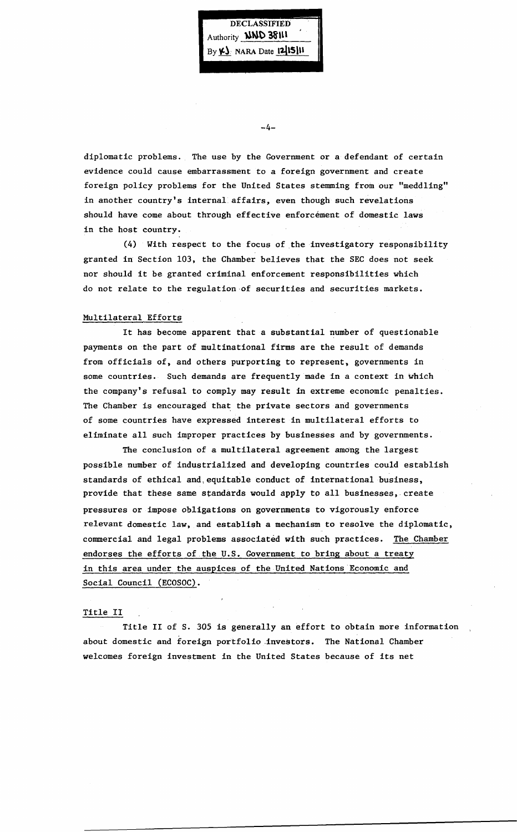**DECLASSIFIED** Authority **WND 38111** By K) NARA Date 12/15/11

-4-

diplomatic problems. The use by the Government or a defendant of certain evidence could cause embarrassment to a foreign government and create foreign policy problems for the United States stemming from our "meddling" in another country's internal affairs, even though such revelations should have come about through effective enforcement of domestic laws in the host country.

(4) With respect to the focus of the investigatory responsibility granted in Section 103, the Chamber believes that the SEC does not seek nor should it be granted criminal enforcement responsibilities which do not relate to the regulation of securities and securities markets.

## Multilateral Efforts

It has become apparent that a substantial number of questionable payments on the part of multinational firms are the result of demands from officials of, and others purporting to represent, governments in some countries. Such demands are frequently made in a context in which the company's refusal to comply may result in extreme economic penalties. The Chamber is encouraged that the private sectors and governments of some countries have expressed interest in multilateral efforts to eliminate all such improper practices by businesses and by governments.

The conclusion of a multilateral agreement among the largest possible number of industrialized and developing countries could establish standards of ethical and, equitable conduct of international business, provide that these same standards would apply to all businesses, create pressures or impose obligations on governments to vigorously enforce relevant domestic law. and establish a mechanism to resolve the diplomatic, commercial and legal problems associated with such practices. The Chamber endorses the efforts of the U.S. Government to bring about a treaty in this area under the auspices of the United Nations Economic and Social Council (ECOSOC).

## Title II

Title II of S. 305 is generally an effort to obtain more information about domestic and foreign portfolio investors. The National Chamber welcomes foreign investment in the United States because of its net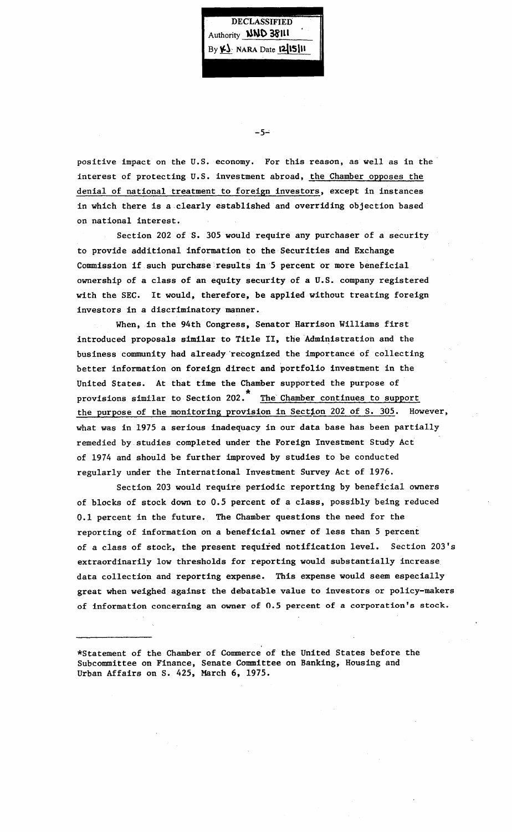DECLASSIFIED Authority **NND 38111**  $By \n\&\}$  NARA Date **12:15**<sup>11</sup>

-5-

positive impact on the U.S. economy. For this reason, as well as in the interest of protecting U.S. investment abroad, the Chamber opposes the denial of national treatment to foreign investors, except in instances in which there is a clearly established and overriding objection based on national interest.

Section 202 of S. 305 would require any purchaser of a security to provide additional information to the Securities and Exchange Commission if such purchase results in 5 percent or more beneficial ownership of a class of an equity security of a U.S. company registered with the SEC. It would, therefore, be applied without treating foreign investors in a discriminatory manner.

When, in the 94th Congress, Senator Harrison Williams first introduced proposals similar to Title II, the Administration and the business community had already 'recognized the importance of collecting better information on foreign direct and portfolio investment in the United States. At that time the Chamber supported the purpose of provisions similar to Section 202.<sup>\*</sup> The Chamber continues to support the purpose of the monitoring provision in Section 202 of S. 305. However, what was in 1975 a serious inadequacy in our data base has been partially remedied by,studies completed under the Foreign Investment Study Act of 1974 and should be further improved by studies to be conducted regularly under the International Investment Survey Act of 1976.

Section 203 would require periodic reporting by beneficial owners of blocks of stock down to 0.5 percent of a class, possibly being reduced 0.1 percent in the future. The Chamber questions the need for the reporting of information on a beneficial owner of less than 5 percent of a class of stock, the present required notification level. Section 203's extraordinarily low thresholds for reporting would substantially increase data collection and reporting expense. This expense would seem especially great when weighed against the debatable value to investors or policy-makers of information concerning an owner of 0.5 percent of a corporation's stock.

\*Statement of the Chamber of Commerce of the United States before the Subcommittee on Finance, Senate Committee on Banking, Housing and Urban Affairs on S. 425, March 6, 1975.